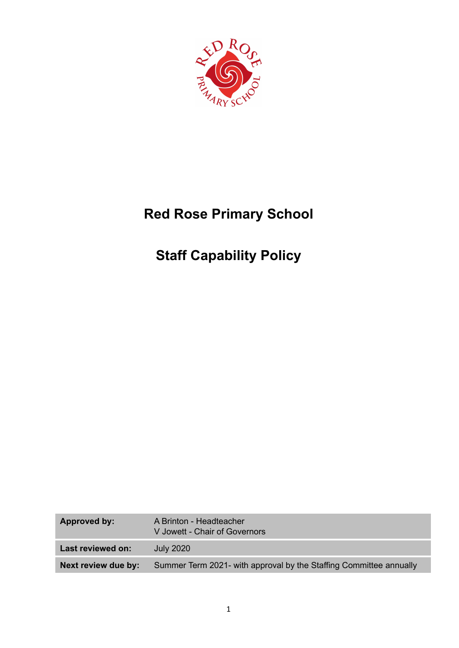

# **Red Rose Primary School**

# **Staff Capability Policy**

| Approved by:        | A Brinton - Headteacher<br>V Jowett - Chair of Governors           |
|---------------------|--------------------------------------------------------------------|
| Last reviewed on:   | <b>July 2020</b>                                                   |
| Next review due by: | Summer Term 2021- with approval by the Staffing Committee annually |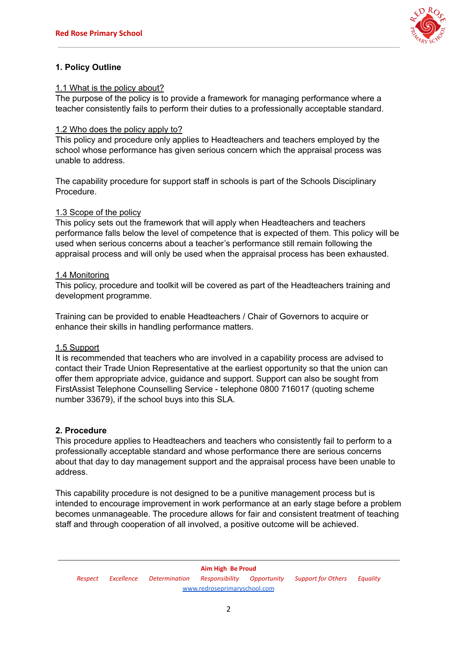

# **1. Policy Outline**

#### 1.1 What is the policy about?

The purpose of the policy is to provide a framework for managing performance where a teacher consistently fails to perform their duties to a professionally acceptable standard.

#### 1.2 Who does the policy apply to?

This policy and procedure only applies to Headteachers and teachers employed by the school whose performance has given serious concern which the appraisal process was unable to address.

The capability procedure for support staff in schools is part of the Schools Disciplinary Procedure.

#### 1.3 Scope of the policy

This policy sets out the framework that will apply when Headteachers and teachers performance falls below the level of competence that is expected of them. This policy will be used when serious concerns about a teacher's performance still remain following the appraisal process and will only be used when the appraisal process has been exhausted.

#### 1.4 Monitoring

This policy, procedure and toolkit will be covered as part of the Headteachers training and development programme.

Training can be provided to enable Headteachers / Chair of Governors to acquire or enhance their skills in handling performance matters.

#### 1.5 Support

It is recommended that teachers who are involved in a capability process are advised to contact their Trade Union Representative at the earliest opportunity so that the union can offer them appropriate advice, guidance and support. Support can also be sought from FirstAssist Telephone Counselling Service - telephone 0800 716017 (quoting scheme number 33679), if the school buys into this SLA.

#### **2. Procedure**

This procedure applies to Headteachers and teachers who consistently fail to perform to a professionally acceptable standard and whose performance there are serious concerns about that day to day management support and the appraisal process have been unable to address.

This capability procedure is not designed to be a punitive management process but is intended to encourage improvement in work performance at an early stage before a problem becomes unmanageable. The procedure allows for fair and consistent treatment of teaching staff and through cooperation of all involved, a positive outcome will be achieved.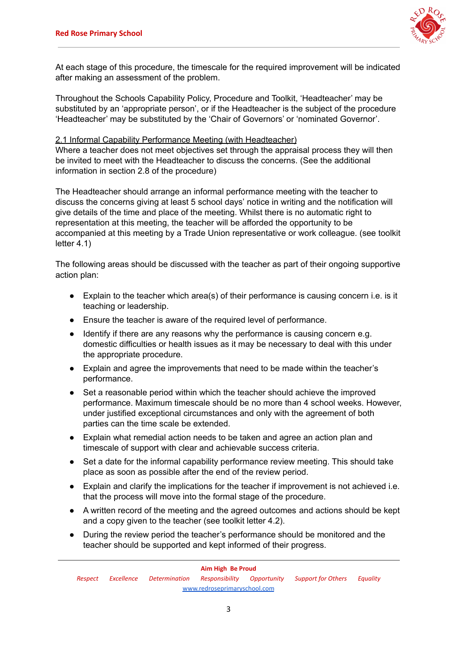

At each stage of this procedure, the timescale for the required improvement will be indicated after making an assessment of the problem.

Throughout the Schools Capability Policy, Procedure and Toolkit, 'Headteacher' may be substituted by an 'appropriate person', or if the Headteacher is the subject of the procedure 'Headteacher' may be substituted by the 'Chair of Governors' or 'nominated Governor'.

#### 2.1 Informal Capability Performance Meeting (with Headteacher)

Where a teacher does not meet objectives set through the appraisal process they will then be invited to meet with the Headteacher to discuss the concerns. (See the additional information in section 2.8 of the procedure)

The Headteacher should arrange an informal performance meeting with the teacher to discuss the concerns giving at least 5 school days' notice in writing and the notification will give details of the time and place of the meeting. Whilst there is no automatic right to representation at this meeting, the teacher will be afforded the opportunity to be accompanied at this meeting by a Trade Union representative or work colleague. (see toolkit letter 4.1)

The following areas should be discussed with the teacher as part of their ongoing supportive action plan:

- Explain to the teacher which area(s) of their performance is causing concern i.e. is it teaching or leadership.
- Ensure the teacher is aware of the required level of performance.
- Identify if there are any reasons why the performance is causing concern e.g. domestic difficulties or health issues as it may be necessary to deal with this under the appropriate procedure.
- Explain and agree the improvements that need to be made within the teacher's performance.
- Set a reasonable period within which the teacher should achieve the improved performance. Maximum timescale should be no more than 4 school weeks. However, under justified exceptional circumstances and only with the agreement of both parties can the time scale be extended.
- Explain what remedial action needs to be taken and agree an action plan and timescale of support with clear and achievable success criteria.
- Set a date for the informal capability performance review meeting. This should take place as soon as possible after the end of the review period.
- Explain and clarify the implications for the teacher if improvement is not achieved i.e. that the process will move into the formal stage of the procedure.
- A written record of the meeting and the agreed outcomes and actions should be kept and a copy given to the teacher (see toolkit letter 4.2).
- During the review period the teacher's performance should be monitored and the teacher should be supported and kept informed of their progress.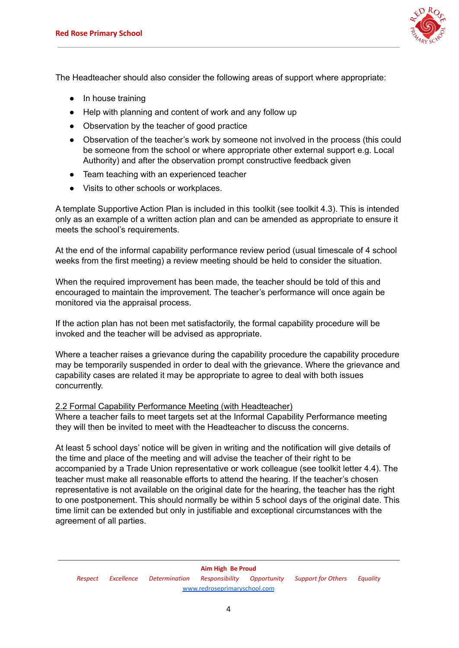

The Headteacher should also consider the following areas of support where appropriate:

- In house training
- Help with planning and content of work and any follow up
- Observation by the teacher of good practice
- Observation of the teacher's work by someone not involved in the process (this could be someone from the school or where appropriate other external support e.g. Local Authority) and after the observation prompt constructive feedback given
- Team teaching with an experienced teacher
- Visits to other schools or workplaces.

A template Supportive Action Plan is included in this toolkit (see toolkit 4.3). This is intended only as an example of a written action plan and can be amended as appropriate to ensure it meets the school's requirements.

At the end of the informal capability performance review period (usual timescale of 4 school weeks from the first meeting) a review meeting should be held to consider the situation.

When the required improvement has been made, the teacher should be told of this and encouraged to maintain the improvement. The teacher's performance will once again be monitored via the appraisal process.

If the action plan has not been met satisfactorily, the formal capability procedure will be invoked and the teacher will be advised as appropriate.

Where a teacher raises a grievance during the capability procedure the capability procedure may be temporarily suspended in order to deal with the grievance. Where the grievance and capability cases are related it may be appropriate to agree to deal with both issues concurrently.

## 2.2 Formal Capability Performance Meeting (with Headteacher)

Where a teacher fails to meet targets set at the Informal Capability Performance meeting they will then be invited to meet with the Headteacher to discuss the concerns.

At least 5 school days' notice will be given in writing and the notification will give details of the time and place of the meeting and will advise the teacher of their right to be accompanied by a Trade Union representative or work colleague (see toolkit letter 4.4). The teacher must make all reasonable efforts to attend the hearing. If the teacher's chosen representative is not available on the original date for the hearing, the teacher has the right to one postponement. This should normally be within 5 school days of the original date. This time limit can be extended but only in justifiable and exceptional circumstances with the agreement of all parties.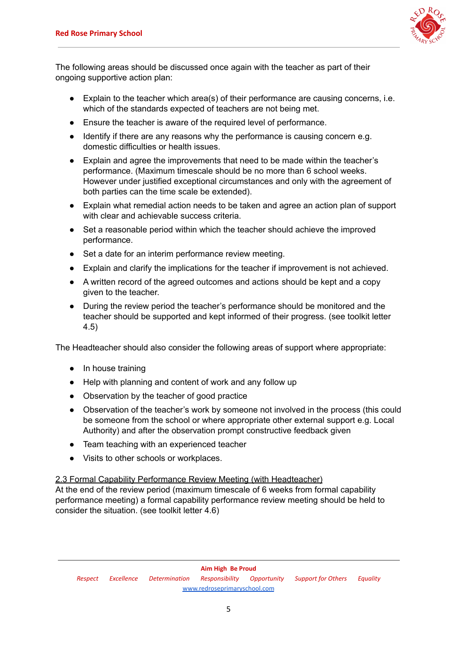

The following areas should be discussed once again with the teacher as part of their ongoing supportive action plan:

- Explain to the teacher which area(s) of their performance are causing concerns, i.e. which of the standards expected of teachers are not being met.
- Ensure the teacher is aware of the required level of performance.
- Identify if there are any reasons why the performance is causing concern e.g. domestic difficulties or health issues.
- Explain and agree the improvements that need to be made within the teacher's performance. (Maximum timescale should be no more than 6 school weeks. However under justified exceptional circumstances and only with the agreement of both parties can the time scale be extended).
- Explain what remedial action needs to be taken and agree an action plan of support with clear and achievable success criteria.
- Set a reasonable period within which the teacher should achieve the improved performance.
- Set a date for an interim performance review meeting.
- Explain and clarify the implications for the teacher if improvement is not achieved.
- A written record of the agreed outcomes and actions should be kept and a copy given to the teacher.
- During the review period the teacher's performance should be monitored and the teacher should be supported and kept informed of their progress. (see toolkit letter 4.5)

The Headteacher should also consider the following areas of support where appropriate:

- In house training
- Help with planning and content of work and any follow up
- Observation by the teacher of good practice
- Observation of the teacher's work by someone not involved in the process (this could be someone from the school or where appropriate other external support e.g. Local Authority) and after the observation prompt constructive feedback given
- Team teaching with an experienced teacher
- Visits to other schools or workplaces.

#### 2.3 Formal Capability Performance Review Meeting (with Headteacher)

At the end of the review period (maximum timescale of 6 weeks from formal capability performance meeting) a formal capability performance review meeting should be held to consider the situation. (see toolkit letter 4.6)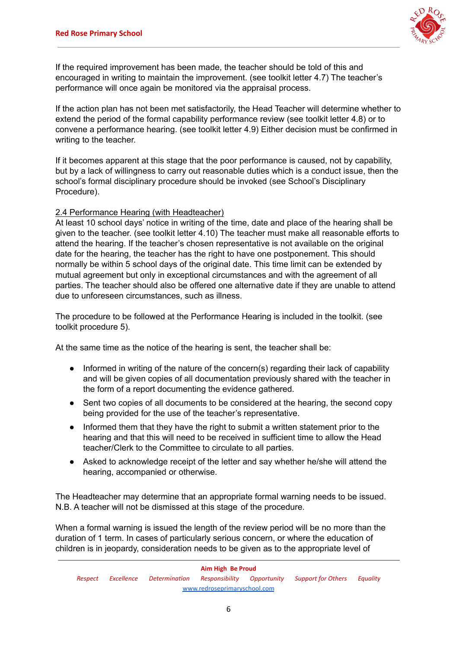

If the required improvement has been made, the teacher should be told of this and encouraged in writing to maintain the improvement. (see toolkit letter 4.7) The teacher's performance will once again be monitored via the appraisal process.

If the action plan has not been met satisfactorily, the Head Teacher will determine whether to extend the period of the formal capability performance review (see toolkit letter 4.8) or to convene a performance hearing. (see toolkit letter 4.9) Either decision must be confirmed in writing to the teacher.

If it becomes apparent at this stage that the poor performance is caused, not by capability, but by a lack of willingness to carry out reasonable duties which is a conduct issue, then the school's formal disciplinary procedure should be invoked (see School's Disciplinary Procedure).

## 2.4 Performance Hearing (with Headteacher)

At least 10 school days' notice in writing of the time, date and place of the hearing shall be given to the teacher. (see toolkit letter 4.10) The teacher must make all reasonable efforts to attend the hearing. If the teacher's chosen representative is not available on the original date for the hearing, the teacher has the right to have one postponement. This should normally be within 5 school days of the original date. This time limit can be extended by mutual agreement but only in exceptional circumstances and with the agreement of all parties. The teacher should also be offered one alternative date if they are unable to attend due to unforeseen circumstances, such as illness.

The procedure to be followed at the Performance Hearing is included in the toolkit. (see toolkit procedure 5).

At the same time as the notice of the hearing is sent, the teacher shall be:

- Informed in writing of the nature of the concern(s) regarding their lack of capability and will be given copies of all documentation previously shared with the teacher in the form of a report documenting the evidence gathered.
- Sent two copies of all documents to be considered at the hearing, the second copy being provided for the use of the teacher's representative.
- Informed them that they have the right to submit a written statement prior to the hearing and that this will need to be received in sufficient time to allow the Head teacher/Clerk to the Committee to circulate to all parties.
- Asked to acknowledge receipt of the letter and say whether he/she will attend the hearing, accompanied or otherwise.

The Headteacher may determine that an appropriate formal warning needs to be issued. N.B. A teacher will not be dismissed at this stage of the procedure.

When a formal warning is issued the length of the review period will be no more than the duration of 1 term. In cases of particularly serious concern, or where the education of children is in jeopardy, consideration needs to be given as to the appropriate level of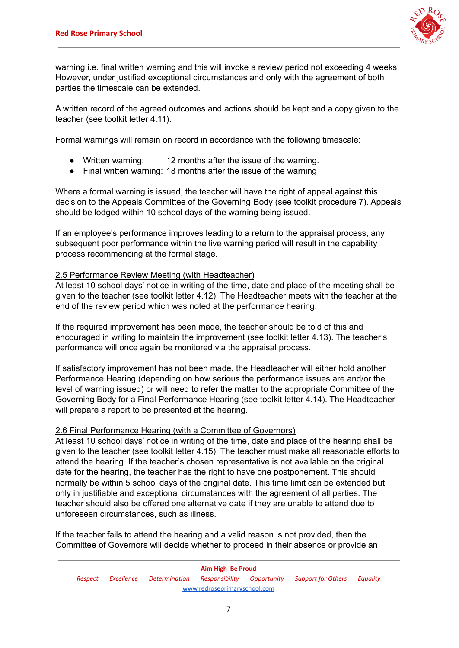

warning i.e. final written warning and this will invoke a review period not exceeding 4 weeks. However, under justified exceptional circumstances and only with the agreement of both parties the timescale can be extended.

A written record of the agreed outcomes and actions should be kept and a copy given to the teacher (see toolkit letter 4.11).

Formal warnings will remain on record in accordance with the following timescale:

- Written warning: 12 months after the issue of the warning.
- Final written warning: 18 months after the issue of the warning

Where a formal warning is issued, the teacher will have the right of appeal against this decision to the Appeals Committee of the Governing Body (see toolkit procedure 7). Appeals should be lodged within 10 school days of the warning being issued.

If an employee's performance improves leading to a return to the appraisal process, any subsequent poor performance within the live warning period will result in the capability process recommencing at the formal stage.

#### 2.5 Performance Review Meeting (with Headteacher)

At least 10 school days' notice in writing of the time, date and place of the meeting shall be given to the teacher (see toolkit letter 4.12). The Headteacher meets with the teacher at the end of the review period which was noted at the performance hearing.

If the required improvement has been made, the teacher should be told of this and encouraged in writing to maintain the improvement (see toolkit letter 4.13). The teacher's performance will once again be monitored via the appraisal process.

If satisfactory improvement has not been made, the Headteacher will either hold another Performance Hearing (depending on how serious the performance issues are and/or the level of warning issued) or will need to refer the matter to the appropriate Committee of the Governing Body for a Final Performance Hearing (see toolkit letter 4.14). The Headteacher will prepare a report to be presented at the hearing.

#### 2.6 Final Performance Hearing (with a Committee of Governors)

At least 10 school days' notice in writing of the time, date and place of the hearing shall be given to the teacher (see toolkit letter 4.15). The teacher must make all reasonable efforts to attend the hearing. If the teacher's chosen representative is not available on the original date for the hearing, the teacher has the right to have one postponement. This should normally be within 5 school days of the original date. This time limit can be extended but only in justifiable and exceptional circumstances with the agreement of all parties. The teacher should also be offered one alternative date if they are unable to attend due to unforeseen circumstances, such as illness.

If the teacher fails to attend the hearing and a valid reason is not provided, then the Committee of Governors will decide whether to proceed in their absence or provide an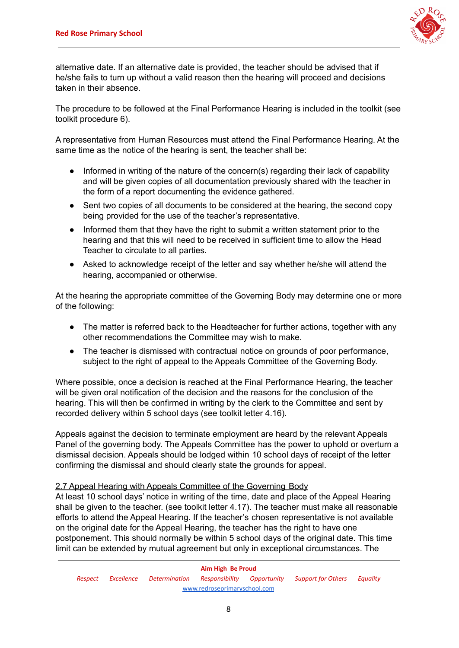

alternative date. If an alternative date is provided, the teacher should be advised that if he/she fails to turn up without a valid reason then the hearing will proceed and decisions taken in their absence.

The procedure to be followed at the Final Performance Hearing is included in the toolkit (see toolkit procedure 6).

A representative from Human Resources must attend the Final Performance Hearing. At the same time as the notice of the hearing is sent, the teacher shall be:

- Informed in writing of the nature of the concern(s) regarding their lack of capability and will be given copies of all documentation previously shared with the teacher in the form of a report documenting the evidence gathered.
- Sent two copies of all documents to be considered at the hearing, the second copy being provided for the use of the teacher's representative.
- Informed them that they have the right to submit a written statement prior to the hearing and that this will need to be received in sufficient time to allow the Head Teacher to circulate to all parties.
- Asked to acknowledge receipt of the letter and say whether he/she will attend the hearing, accompanied or otherwise.

At the hearing the appropriate committee of the Governing Body may determine one or more of the following:

- The matter is referred back to the Headteacher for further actions, together with any other recommendations the Committee may wish to make.
- The teacher is dismissed with contractual notice on grounds of poor performance, subject to the right of appeal to the Appeals Committee of the Governing Body.

Where possible, once a decision is reached at the Final Performance Hearing, the teacher will be given oral notification of the decision and the reasons for the conclusion of the hearing. This will then be confirmed in writing by the clerk to the Committee and sent by recorded delivery within 5 school days (see toolkit letter 4.16).

Appeals against the decision to terminate employment are heard by the relevant Appeals Panel of the governing body. The Appeals Committee has the power to uphold or overturn a dismissal decision. Appeals should be lodged within 10 school days of receipt of the letter confirming the dismissal and should clearly state the grounds for appeal.

## 2.7 Appeal Hearing with Appeals Committee of the Governing Body

At least 10 school days' notice in writing of the time, date and place of the Appeal Hearing shall be given to the teacher. (see toolkit letter 4.17). The teacher must make all reasonable efforts to attend the Appeal Hearing. If the teacher's chosen representative is not available on the original date for the Appeal Hearing, the teacher has the right to have one postponement. This should normally be within 5 school days of the original date. This time limit can be extended by mutual agreement but only in exceptional circumstances. The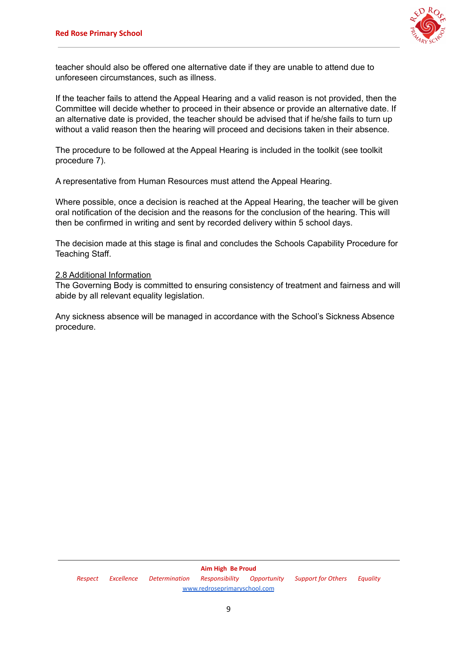

teacher should also be offered one alternative date if they are unable to attend due to unforeseen circumstances, such as illness.

If the teacher fails to attend the Appeal Hearing and a valid reason is not provided, then the Committee will decide whether to proceed in their absence or provide an alternative date. If an alternative date is provided, the teacher should be advised that if he/she fails to turn up without a valid reason then the hearing will proceed and decisions taken in their absence.

The procedure to be followed at the Appeal Hearing is included in the toolkit (see toolkit procedure 7).

A representative from Human Resources must attend the Appeal Hearing.

Where possible, once a decision is reached at the Appeal Hearing, the teacher will be given oral notification of the decision and the reasons for the conclusion of the hearing. This will then be confirmed in writing and sent by recorded delivery within 5 school days.

The decision made at this stage is final and concludes the Schools Capability Procedure for Teaching Staff.

#### 2.8 Additional Information

The Governing Body is committed to ensuring consistency of treatment and fairness and will abide by all relevant equality legislation.

Any sickness absence will be managed in accordance with the School's Sickness Absence procedure.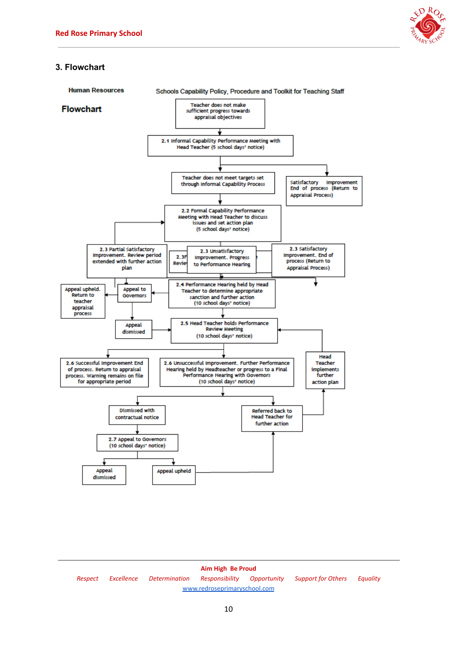

## **3. Flowchart**



**Aim High Be Proud** *Respect Excellence Determination Responsibility Opportunity Support for Others Equality* [www.redroseprimaryschool.com](http://www.redroseprimaryschool.com)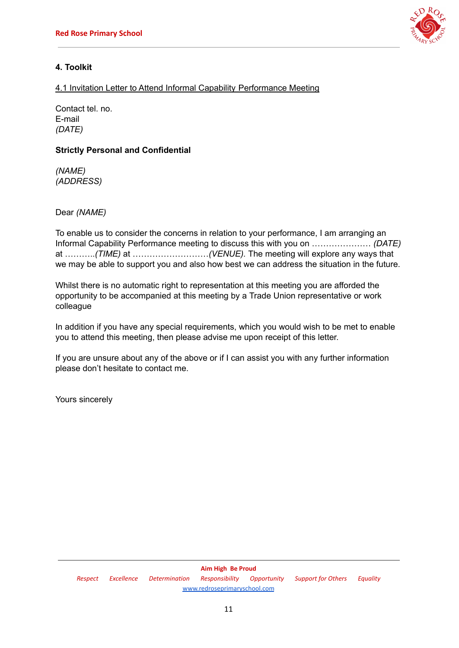

# **4. Toolkit**

4.1 Invitation Letter to Attend Informal Capability Performance Meeting

Contact tel. no. E-mail *(DATE)*

## **Strictly Personal and Confidential**

*(NAME) (ADDRESS)*

Dear *(NAME)*

To enable us to consider the concerns in relation to your performance, I am arranging an Informal Capability Performance meeting to discuss this with you on ………………… *(DATE)* at ………..*(TIME)* at ………………………*(VENUE).* The meeting will explore any ways that we may be able to support you and also how best we can address the situation in the future.

Whilst there is no automatic right to representation at this meeting you are afforded the opportunity to be accompanied at this meeting by a Trade Union representative or work colleague

In addition if you have any special requirements, which you would wish to be met to enable you to attend this meeting, then please advise me upon receipt of this letter.

If you are unsure about any of the above or if I can assist you with any further information please don't hesitate to contact me.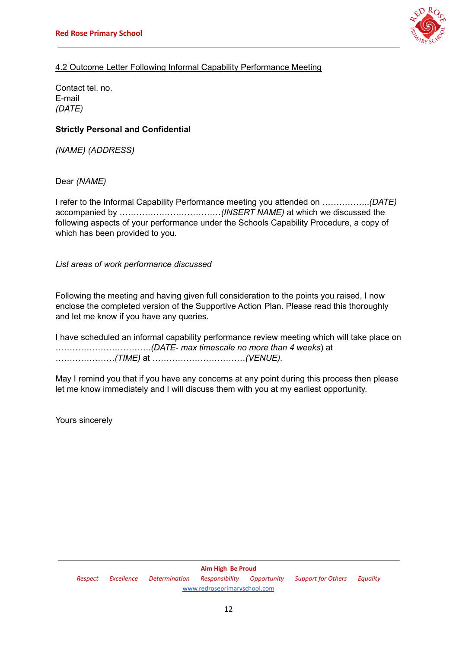

# 4.2 Outcome Letter Following Informal Capability Performance Meeting

Contact tel. no. E-mail *(DATE)*

## **Strictly Personal and Confidential**

*(NAME) (ADDRESS)*

Dear *(NAME)*

I refer to the Informal Capability Performance meeting you attended on ……………..*(DATE)* accompanied by ………………………………*(INSERT NAME)* at which we discussed the following aspects of your performance under the Schools Capability Procedure, a copy of which has been provided to you.

*List areas of work performance discussed*

Following the meeting and having given full consideration to the points you raised, I now enclose the completed version of the Supportive Action Plan. Please read this thoroughly and let me know if you have any queries.

I have scheduled an informal capability performance review meeting which will take place on …………………………….*(DATE*- *max timescale no more than 4 weeks*) at …………………*(TIME)* at ……………………………*(VENUE).*

May I remind you that if you have any concerns at any point during this process then please let me know immediately and I will discuss them with you at my earliest opportunity.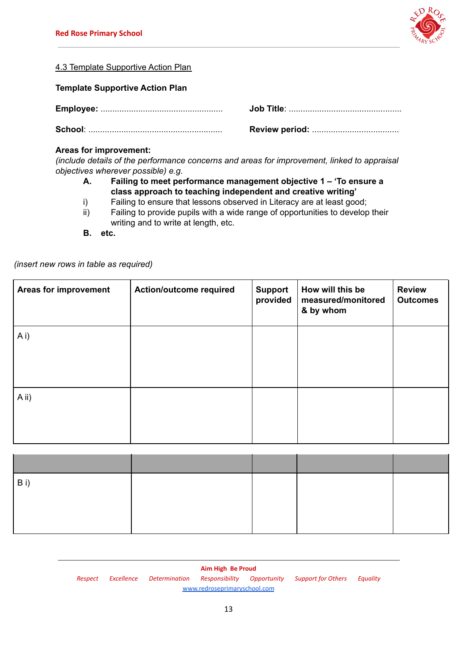

# 4.3 Template Supportive Action Plan

## **Template Supportive Action Plan**

**Employee:** .................................................... **Job Title**: ................................................

**Areas for improvement:**

*(include details of the performance concerns and areas for improvement, linked to appraisal objectives wherever possible) e.g.*

**School**: ......................................................... **Review period:** .....................................

# **A. Failing to meet performance management objective 1 – 'To ensure a class approach to teaching independent and creative writing'**

- i) Failing to ensure that lessons observed in Literacy are at least good;
- ii) Failing to provide pupils with a wide range of opportunities to develop their writing and to write at length, etc.
- **B. etc.**

| <b>Areas for improvement</b> | <b>Action/outcome required</b> | <b>Support</b><br>provided | How will this be<br>measured/monitored<br>& by whom | <b>Review</b><br><b>Outcomes</b> |
|------------------------------|--------------------------------|----------------------------|-----------------------------------------------------|----------------------------------|
| A <sub>i</sub>               |                                |                            |                                                     |                                  |
| A ii)                        |                                |                            |                                                     |                                  |

*(insert new rows in table as required)*

| B <sub>i</sub> |  |  |
|----------------|--|--|
|                |  |  |
|                |  |  |

**Aim High Be Proud** *Respect Excellence Determination Responsibility Opportunity Support for Others Equality* [www.redroseprimaryschool.com](http://www.redroseprimaryschool.com)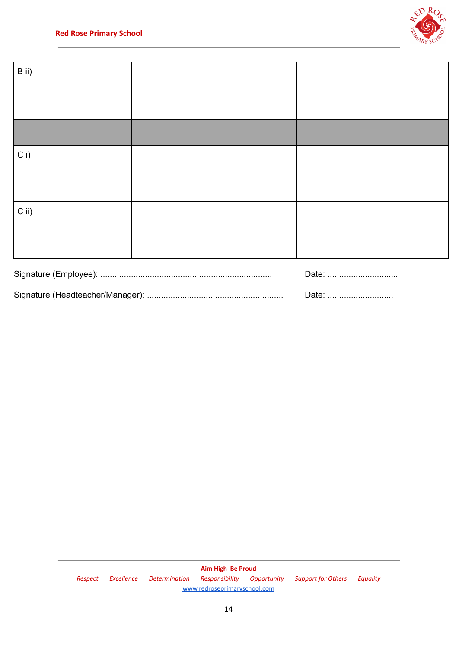

| B ii)   |  |  |
|---------|--|--|
|         |  |  |
|         |  |  |
| $C$ i)  |  |  |
|         |  |  |
| $C$ ii) |  |  |
|         |  |  |

**Aim High Be Proud** *Respect Excellence Determination Responsibility Opportunity Support for Others Equality* [www.redroseprimaryschool.com](http://www.redroseprimaryschool.com)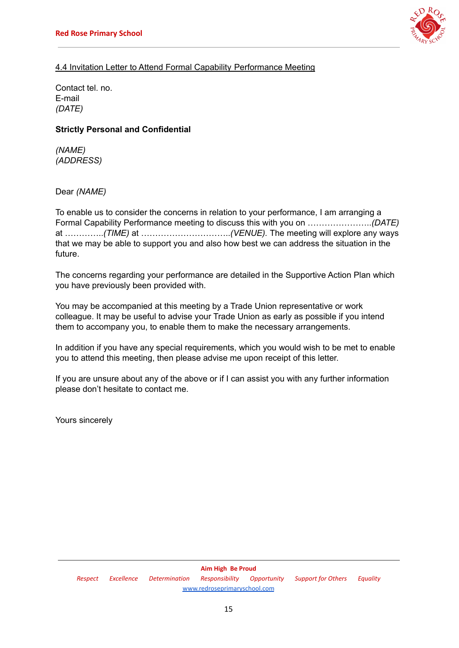

# 4.4 Invitation Letter to Attend Formal Capability Performance Meeting

Contact tel. no. E-mail *(DATE)*

## **Strictly Personal and Confidential**

*(NAME) (ADDRESS)*

Dear *(NAME)*

To enable us to consider the concerns in relation to your performance, I am arranging a Formal Capability Performance meeting to discuss this with you on …………………..*(DATE)* at …………..*(TIME)* at …………………………..*(VENUE).* The meeting will explore any ways that we may be able to support you and also how best we can address the situation in the future.

The concerns regarding your performance are detailed in the Supportive Action Plan which you have previously been provided with.

You may be accompanied at this meeting by a Trade Union representative or work colleague. It may be useful to advise your Trade Union as early as possible if you intend them to accompany you, to enable them to make the necessary arrangements.

In addition if you have any special requirements, which you would wish to be met to enable you to attend this meeting, then please advise me upon receipt of this letter.

If you are unsure about any of the above or if I can assist you with any further information please don't hesitate to contact me.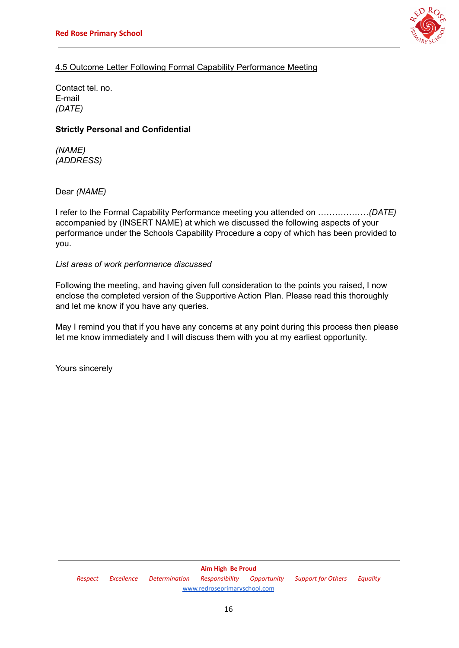

# 4.5 Outcome Letter Following Formal Capability Performance Meeting

Contact tel. no. E-mail *(DATE)*

## **Strictly Personal and Confidential**

*(NAME) (ADDRESS)*

Dear *(NAME)*

I refer to the Formal Capability Performance meeting you attended on ………………*(DATE)* accompanied by (INSERT NAME) at which we discussed the following aspects of your performance under the Schools Capability Procedure a copy of which has been provided to you.

## *List areas of work performance discussed*

Following the meeting, and having given full consideration to the points you raised, I now enclose the completed version of the Supportive Action Plan. Please read this thoroughly and let me know if you have any queries.

May I remind you that if you have any concerns at any point during this process then please let me know immediately and I will discuss them with you at my earliest opportunity.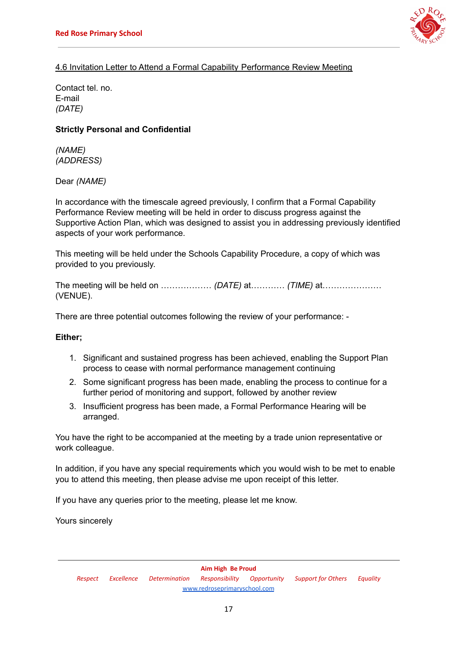

# 4.6 Invitation Letter to Attend a Formal Capability Performance Review Meeting

Contact tel. no. E-mail *(DATE)*

## **Strictly Personal and Confidential**

*(NAME) (ADDRESS)*

Dear *(NAME)*

In accordance with the timescale agreed previously, I confirm that a Formal Capability Performance Review meeting will be held in order to discuss progress against the Supportive Action Plan, which was designed to assist you in addressing previously identified aspects of your work performance.

This meeting will be held under the Schools Capability Procedure, a copy of which was provided to you previously.

The meeting will be held on ……………… *(DATE)* at………… *(TIME)* at………………… (VENUE).

There are three potential outcomes following the review of your performance: -

## **Either;**

- 1. Significant and sustained progress has been achieved, enabling the Support Plan process to cease with normal performance management continuing
- 2. Some significant progress has been made, enabling the process to continue for a further period of monitoring and support, followed by another review
- 3. Insufficient progress has been made, a Formal Performance Hearing will be arranged.

You have the right to be accompanied at the meeting by a trade union representative or work colleague.

In addition, if you have any special requirements which you would wish to be met to enable you to attend this meeting, then please advise me upon receipt of this letter.

If you have any queries prior to the meeting, please let me know.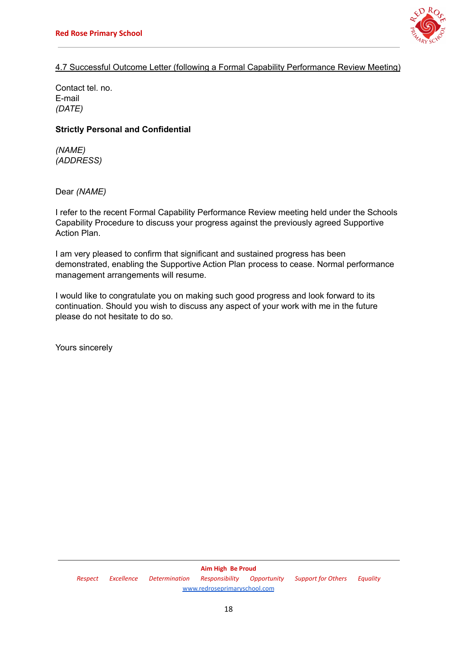

# 4.7 Successful Outcome Letter (following a Formal Capability Performance Review Meeting)

Contact tel. no. E-mail *(DATE)*

## **Strictly Personal and Confidential**

*(NAME) (ADDRESS)*

Dear *(NAME)*

I refer to the recent Formal Capability Performance Review meeting held under the Schools Capability Procedure to discuss your progress against the previously agreed Supportive Action Plan.

I am very pleased to confirm that significant and sustained progress has been demonstrated, enabling the Supportive Action Plan process to cease. Normal performance management arrangements will resume.

I would like to congratulate you on making such good progress and look forward to its continuation. Should you wish to discuss any aspect of your work with me in the future please do not hesitate to do so.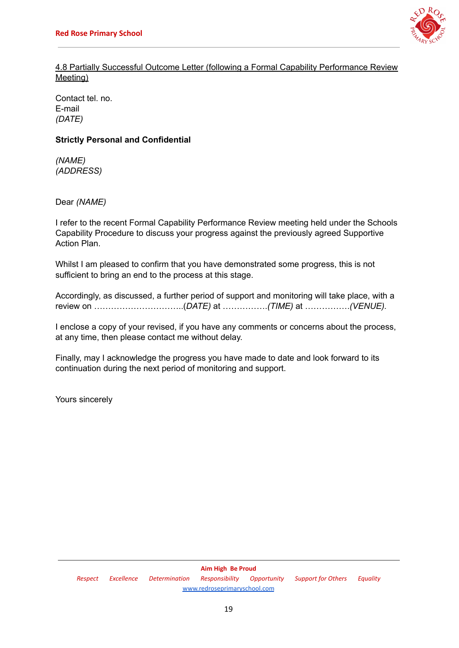

# 4.8 Partially Successful Outcome Letter (following a Formal Capability Performance Review Meeting)

Contact tel. no. E-mail *(DATE)*

## **Strictly Personal and Confidential**

*(NAME) (ADDRESS)*

Dear *(NAME)*

I refer to the recent Formal Capability Performance Review meeting held under the Schools Capability Procedure to discuss your progress against the previously agreed Supportive Action Plan.

Whilst I am pleased to confirm that you have demonstrated some progress, this is not sufficient to bring an end to the process at this stage.

Accordingly, as discussed, a further period of support and monitoring will take place, with a review on …………………………..(*DATE)* at …………….*(TIME)* at …………….*(VENUE).*

I enclose a copy of your revised, if you have any comments or concerns about the process, at any time, then please contact me without delay.

Finally, may I acknowledge the progress you have made to date and look forward to its continuation during the next period of monitoring and support.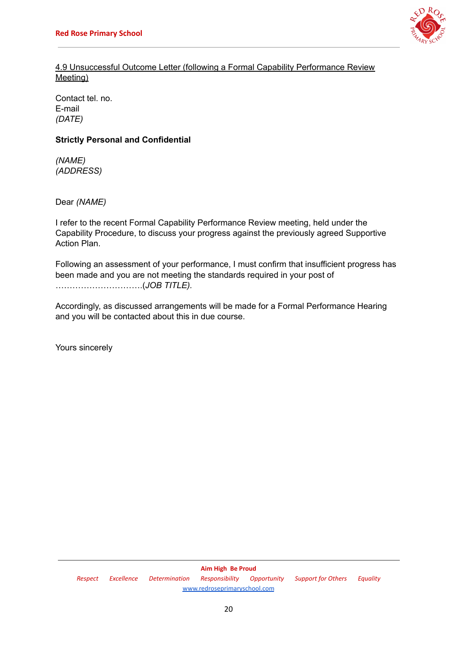

# 4.9 Unsuccessful Outcome Letter (following a Formal Capability Performance Review Meeting)

Contact tel. no. E-mail *(DATE)*

# **Strictly Personal and Confidential**

*(NAME) (ADDRESS)*

Dear *(NAME)*

I refer to the recent Formal Capability Performance Review meeting, held under the Capability Procedure, to discuss your progress against the previously agreed Supportive Action Plan.

Following an assessment of your performance, I must confirm that insufficient progress has been made and you are not meeting the standards required in your post of ………………………….(*JOB TITLE).*

Accordingly, as discussed arrangements will be made for a Formal Performance Hearing and you will be contacted about this in due course.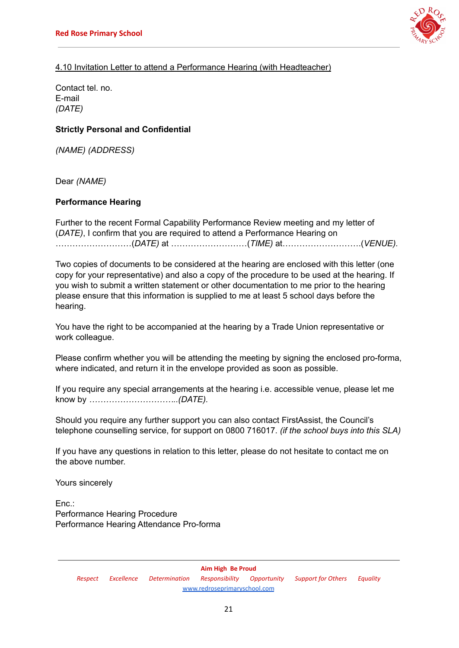

# 4.10 Invitation Letter to attend a Performance Hearing (with Headteacher)

Contact tel. no. E-mail *(DATE)*

## **Strictly Personal and Confidential**

*(NAME) (ADDRESS)*

Dear *(NAME)*

## **Performance Hearing**

Further to the recent Formal Capability Performance Review meeting and my letter of (*DATE)*, I confirm that you are required to attend a Performance Hearing on ………………………(*DATE)* at ………………………(*TIME)* at……………………….(*VENUE).*

Two copies of documents to be considered at the hearing are enclosed with this letter (one copy for your representative) and also a copy of the procedure to be used at the hearing. If you wish to submit a written statement or other documentation to me prior to the hearing please ensure that this information is supplied to me at least 5 school days before the hearing.

You have the right to be accompanied at the hearing by a Trade Union representative or work colleague.

Please confirm whether you will be attending the meeting by signing the enclosed pro-forma, where indicated, and return it in the envelope provided as soon as possible.

If you require any special arrangements at the hearing i.e. accessible venue, please let me know by *…………………………..(DATE).*

Should you require any further support you can also contact FirstAssist, the Council's telephone counselling service, for support on 0800 716017. *(if the school buys into this SLA)*

If you have any questions in relation to this letter, please do not hesitate to contact me on the above number.

Yours sincerely

Enc.: Performance Hearing Procedure Performance Hearing Attendance Pro-forma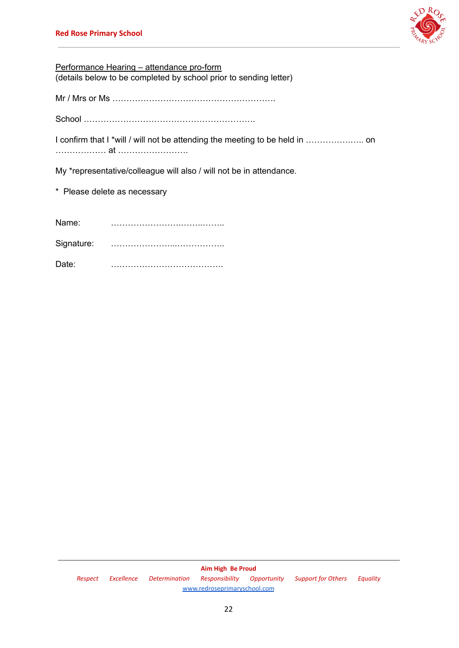

Performance Hearing – attendance pro-form (details below to be completed by school prior to sending letter)

Mr / Mrs or Ms ………………………………………………….

School …………………………………………………….

I confirm that I \*will / will not be attending the meeting to be held in …………….….. on ……………… at …………………….

My \*representative/colleague will also / will not be in attendance.

\* Please delete as necessary

| Name:      | .<br>. |
|------------|--------|
| Signature: |        |
| Date:      |        |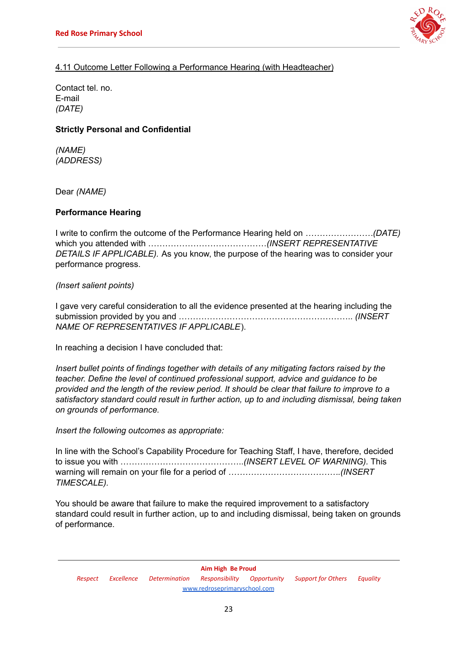

# 4.11 Outcome Letter Following a Performance Hearing (with Headteacher)

Contact tel. no. E-mail *(DATE)*

## **Strictly Personal and Confidential**

*(NAME) (ADDRESS)*

Dear *(NAME)*

## **Performance Hearing**

I write to confirm the outcome of the Performance Hearing held on *……………………(DATE)* which you attended with ……………………………………*(INSERT REPRESENTATIVE DETAILS IF APPLICABLE).* As you know, the purpose of the hearing was to consider your performance progress.

## *(Insert salient points)*

I gave very careful consideration to all the evidence presented at the hearing including the submission provided by you and …………………………………………………….. *(INSERT NAME OF REPRESENTATIVES IF APPLICABLE*).

In reaching a decision I have concluded that:

*Insert bullet points of findings together with details of any mitigating factors raised by the teacher. Define the level of continued professional support, advice and guidance to be provided and the length of the review period. It should be clear that failure to improve to a satisfactory standard could result in further action, up to and including dismissal, being taken on grounds of performance.*

*Insert the following outcomes as appropriate:*

In line with the School's Capability Procedure for Teaching Staff, I have, therefore, decided to issue you with ……………………………………..*(INSERT LEVEL OF WARNING).* This warning will remain on your file for a period of *………………………………….(INSERT TIMESCALE).*

You should be aware that failure to make the required improvement to a satisfactory standard could result in further action, up to and including dismissal, being taken on grounds of performance.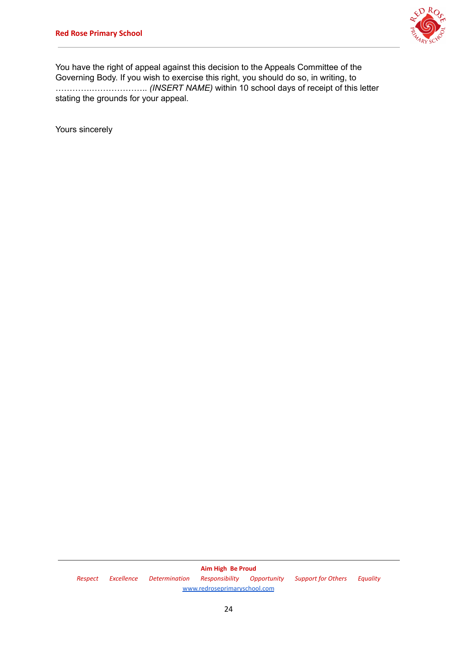

You have the right of appeal against this decision to the Appeals Committee of the Governing Body. If you wish to exercise this right, you should do so, in writing, to ………….……………….. *(INSERT NAME)* within 10 school days of receipt of this letter stating the grounds for your appeal.

Yours sincerely

**Aim High Be Proud** *Respect Excellence Determination Responsibility Opportunity Support for Others Equality* [www.redroseprimaryschool.com](http://www.redroseprimaryschool.com)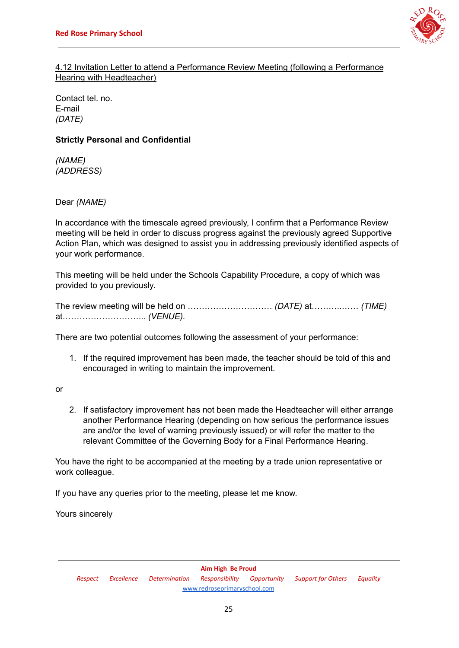

## 4.12 Invitation Letter to attend a Performance Review Meeting (following a Performance Hearing with Headteacher)

Contact tel. no. E-mail *(DATE)*

## **Strictly Personal and Confidential**

*(NAME) (ADDRESS)*

Dear *(NAME)*

In accordance with the timescale agreed previously, I confirm that a Performance Review meeting will be held in order to discuss progress against the previously agreed Supportive Action Plan, which was designed to assist you in addressing previously identified aspects of your work performance.

This meeting will be held under the Schools Capability Procedure, a copy of which was provided to you previously.

The review meeting will be held on ………………………… *(DATE)* at………..…… *(TIME)* at………………………... *(VENUE).*

There are two potential outcomes following the assessment of your performance:

1. If the required improvement has been made, the teacher should be told of this and encouraged in writing to maintain the improvement.

or

2. If satisfactory improvement has not been made the Headteacher will either arrange another Performance Hearing (depending on how serious the performance issues are and/or the level of warning previously issued) or will refer the matter to the relevant Committee of the Governing Body for a Final Performance Hearing.

You have the right to be accompanied at the meeting by a trade union representative or work colleague.

If you have any queries prior to the meeting, please let me know.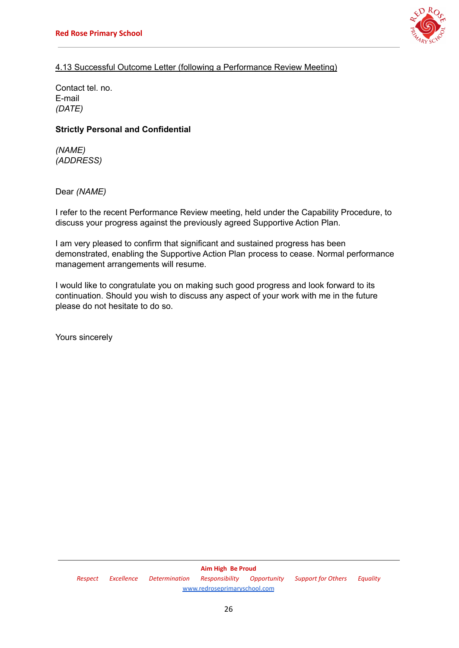

# 4.13 Successful Outcome Letter (following a Performance Review Meeting)

Contact tel. no. E-mail *(DATE)*

## **Strictly Personal and Confidential**

*(NAME) (ADDRESS)*

Dear *(NAME)*

I refer to the recent Performance Review meeting, held under the Capability Procedure, to discuss your progress against the previously agreed Supportive Action Plan.

I am very pleased to confirm that significant and sustained progress has been demonstrated, enabling the Supportive Action Plan process to cease. Normal performance management arrangements will resume.

I would like to congratulate you on making such good progress and look forward to its continuation. Should you wish to discuss any aspect of your work with me in the future please do not hesitate to do so.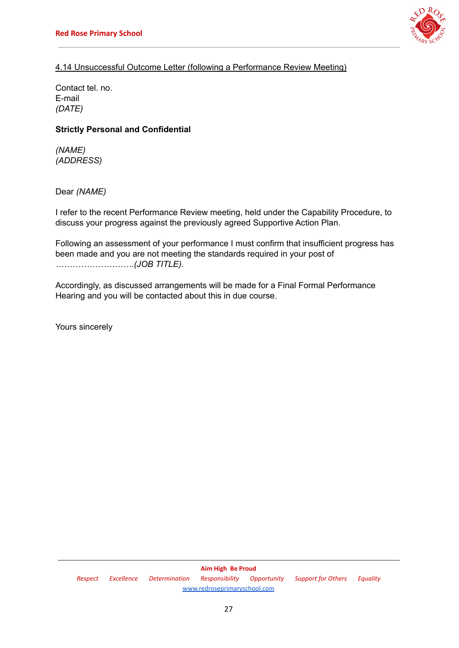

# 4.14 Unsuccessful Outcome Letter (following a Performance Review Meeting)

Contact tel. no. E-mail *(DATE)*

## **Strictly Personal and Confidential**

*(NAME) (ADDRESS)*

Dear *(NAME)*

I refer to the recent Performance Review meeting, held under the Capability Procedure, to discuss your progress against the previously agreed Supportive Action Plan.

Following an assessment of your performance I must confirm that insufficient progress has been made and you are not meeting the standards required in your post of *……………………….(JOB TITLE).*

Accordingly, as discussed arrangements will be made for a Final Formal Performance Hearing and you will be contacted about this in due course.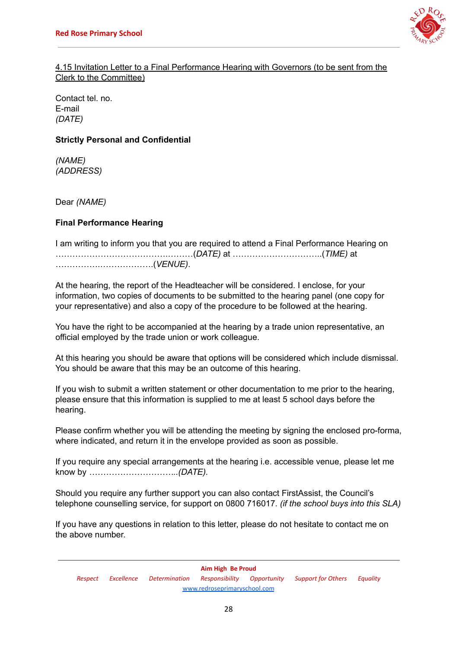

## 4.15 Invitation Letter to a Final Performance Hearing with Governors (to be sent from the Clerk to the Committee)

Contact tel. no. E-mail *(DATE)*

## **Strictly Personal and Confidential**

*(NAME) (ADDRESS)*

Dear *(NAME)*

## **Final Performance Hearing**

I am writing to inform you that you are required to attend a Final Performance Hearing on ………………………………….………(*DATE)* at …………………………..(*TIME)* at …………….……………….(*VENUE)*.

At the hearing, the report of the Headteacher will be considered. I enclose, for your information, two copies of documents to be submitted to the hearing panel (one copy for your representative) and also a copy of the procedure to be followed at the hearing.

You have the right to be accompanied at the hearing by a trade union representative, an official employed by the trade union or work colleague.

At this hearing you should be aware that options will be considered which include dismissal. You should be aware that this may be an outcome of this hearing.

If you wish to submit a written statement or other documentation to me prior to the hearing, please ensure that this information is supplied to me at least 5 school days before the hearing.

Please confirm whether you will be attending the meeting by signing the enclosed pro-forma, where indicated, and return it in the envelope provided as soon as possible.

If you require any special arrangements at the hearing i.e. accessible venue, please let me know by *…………………………..(DATE).*

Should you require any further support you can also contact FirstAssist, the Council's telephone counselling service, for support on 0800 716017. *(if the school buys into this SLA)*

If you have any questions in relation to this letter, please do not hesitate to contact me on the above number.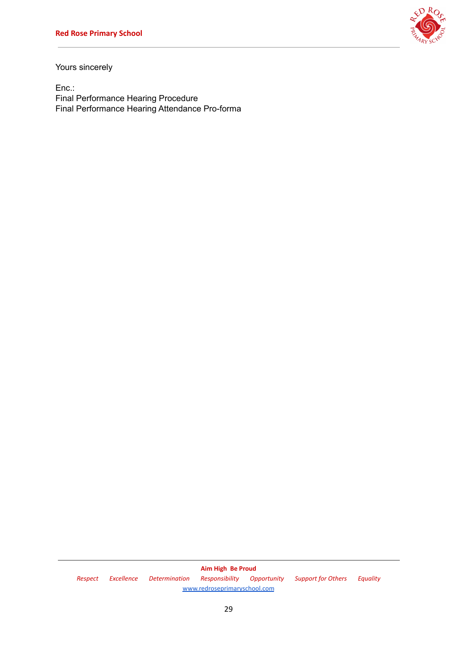

Yours sincerely

Enc.: Final Performance Hearing Procedure Final Performance Hearing Attendance Pro-forma

> **Aim High Be Proud** *Respect Excellence Determination Responsibility Opportunity Support for Others Equality* [www.redroseprimaryschool.com](http://www.redroseprimaryschool.com)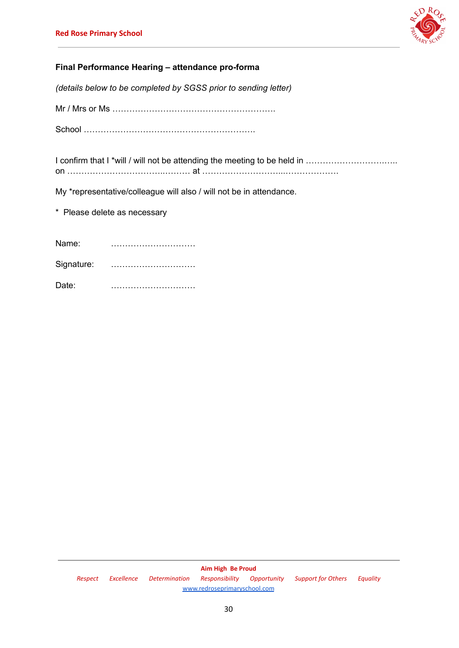

# **Final Performance Hearing – attendance pro-forma**

*(details below to be completed by SGSS prior to sending letter)*

Mr / Mrs or Ms ………………………………………………….

School …………………………………………………….

My \*representative/colleague will also / will not be in attendance.

\* Please delete as necessary

| Name:      |   |
|------------|---|
| Signature: | . |
| Date:      |   |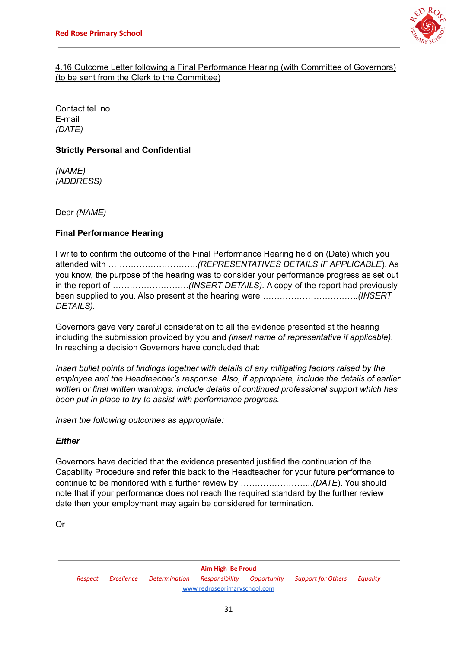

# 4.16 Outcome Letter following a Final Performance Hearing (with Committee of Governors) (to be sent from the Clerk to the Committee)

Contact tel. no. E-mail *(DATE)*

## **Strictly Personal and Confidential**

*(NAME) (ADDRESS)*

Dear *(NAME)*

# **Final Performance Hearing**

I write to confirm the outcome of the Final Performance Hearing held on (Date) which you attended with …………………………..*(REPRESENTATIVES DETAILS IF APPLICABLE*). As you know, the purpose of the hearing was to consider your performance progress as set out in the report of *………………………(INSERT DETAILS).* A copy of the report had previously been supplied to you. Also present at the hearing were *…………………………….(INSERT DETAILS).*

Governors gave very careful consideration to all the evidence presented at the hearing including the submission provided by you and *(insert name of representative if applicable).* In reaching a decision Governors have concluded that:

*Insert bullet points of findings together with details of any mitigating factors raised by the employee and the Headteacher's response. Also, if appropriate, include the details of earlier written or final written warnings. Include details of continued professional support which has been put in place to try to assist with performance progress.*

*Insert the following outcomes as appropriate:*

## *Either*

Governors have decided that the evidence presented justified the continuation of the Capability Procedure and refer this back to the Headteacher for your future performance to continue to be monitored with a further review by *……………………..(DATE*). You should note that if your performance does not reach the required standard by the further review date then your employment may again be considered for termination.

Or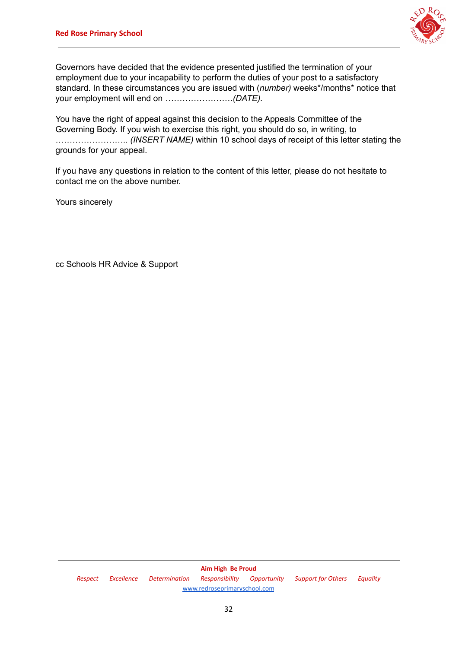

Governors have decided that the evidence presented justified the termination of your employment due to your incapability to perform the duties of your post to a satisfactory standard. In these circumstances you are issued with (*number)* weeks\*/months\* notice that your employment will end on *……………………(DATE).*

You have the right of appeal against this decision to the Appeals Committee of the Governing Body. If you wish to exercise this right, you should do so, in writing, to …………………….. *(INSERT NAME)* within 10 school days of receipt of this letter stating the grounds for your appeal.

If you have any questions in relation to the content of this letter, please do not hesitate to contact me on the above number.

Yours sincerely

cc Schools HR Advice & Support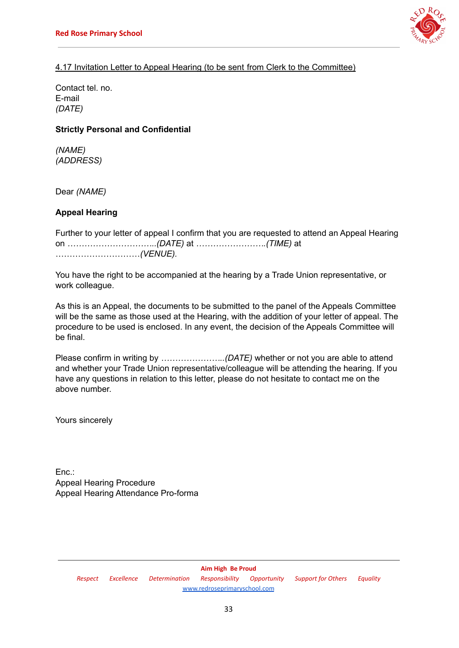

# 4.17 Invitation Letter to Appeal Hearing (to be sent from Clerk to the Committee)

Contact tel. no. E-mail *(DATE)*

## **Strictly Personal and Confidential**

*(NAME) (ADDRESS)*

Dear *(NAME)*

## **Appeal Hearing**

Further to your letter of appeal I confirm that you are requested to attend an Appeal Hearing on *…………………………..(DATE)* at *…………………….(TIME)* at …………………………*(VENUE).*

You have the right to be accompanied at the hearing by a Trade Union representative, or work colleague.

As this is an Appeal, the documents to be submitted to the panel of the Appeals Committee will be the same as those used at the Hearing, with the addition of your letter of appeal. The procedure to be used is enclosed. In any event, the decision of the Appeals Committee will be final.

Please confirm in writing by *…………………..(DATE)* whether or not you are able to attend and whether your Trade Union representative/colleague will be attending the hearing. If you have any questions in relation to this letter, please do not hesitate to contact me on the above number.

Yours sincerely

Enc.: Appeal Hearing Procedure Appeal Hearing Attendance Pro-forma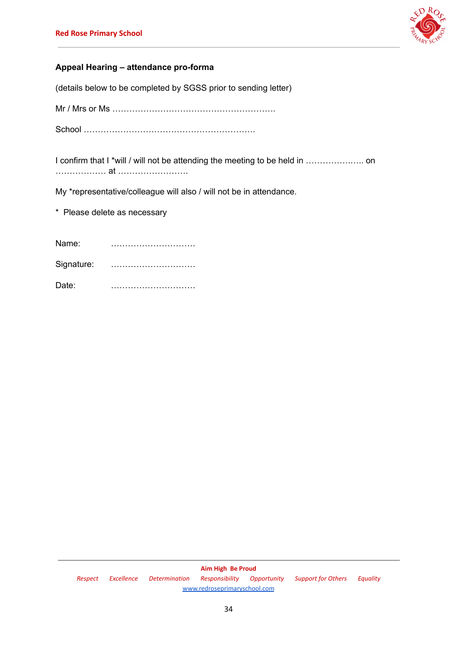

# **Appeal Hearing – attendance pro-forma**

(details below to be completed by SGSS prior to sending letter)

Mr / Mrs or Ms ………………………………………………….

School …………………………………………………….

I confirm that I \*will / will not be attending the meeting to be held in …………….….. on ……………… at …………………….

My \*representative/colleague will also / will not be in attendance.

\* Please delete as necessary

| Name:      |  |
|------------|--|
| Signature: |  |
| Date:      |  |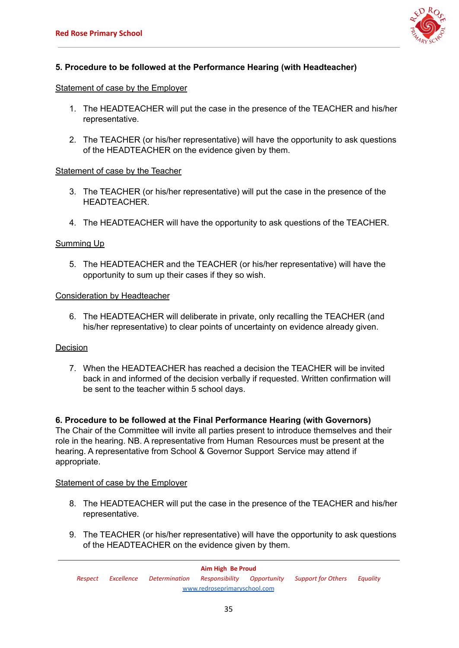

## **5. Procedure to be followed at the Performance Hearing (with Headteacher)**

#### Statement of case by the Employer

- 1. The HEADTEACHER will put the case in the presence of the TEACHER and his/her representative.
- 2. The TEACHER (or his/her representative) will have the opportunity to ask questions of the HEADTEACHER on the evidence given by them.

#### Statement of case by the Teacher

- 3. The TEACHER (or his/her representative) will put the case in the presence of the HEADTEACHER.
- 4. The HEADTEACHER will have the opportunity to ask questions of the TEACHER.

#### Summing Up

5. The HEADTEACHER and the TEACHER (or his/her representative) will have the opportunity to sum up their cases if they so wish.

#### Consideration by Headteacher

6. The HEADTEACHER will deliberate in private, only recalling the TEACHER (and his/her representative) to clear points of uncertainty on evidence already given.

#### **Decision**

7. When the HEADTEACHER has reached a decision the TEACHER will be invited back in and informed of the decision verbally if requested. Written confirmation will be sent to the teacher within 5 school days.

**6. Procedure to be followed at the Final Performance Hearing (with Governors)** The Chair of the Committee will invite all parties present to introduce themselves and their role in the hearing. NB. A representative from Human Resources must be present at the hearing. A representative from School & Governor Support Service may attend if appropriate.

#### Statement of case by the Employer

- 8. The HEADTEACHER will put the case in the presence of the TEACHER and his/her representative.
- 9. The TEACHER (or his/her representative) will have the opportunity to ask questions of the HEADTEACHER on the evidence given by them.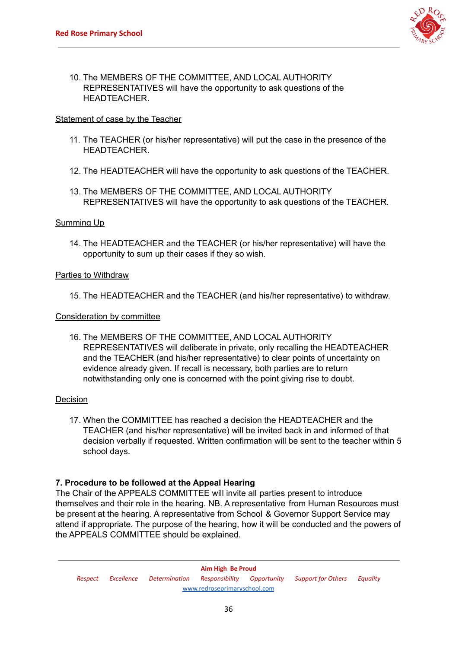

10. The MEMBERS OF THE COMMITTEE, AND LOCAL AUTHORITY REPRESENTATIVES will have the opportunity to ask questions of the HEADTEACHER.

## Statement of case by the Teacher

- 11. The TEACHER (or his/her representative) will put the case in the presence of the **HEADTEACHER**
- 12. The HEADTEACHER will have the opportunity to ask questions of the TEACHER.
- 13. The MEMBERS OF THE COMMITTEE, AND LOCAL AUTHORITY REPRESENTATIVES will have the opportunity to ask questions of the TEACHER.

#### Summing Up

14. The HEADTEACHER and the TEACHER (or his/her representative) will have the opportunity to sum up their cases if they so wish.

#### Parties to Withdraw

15. The HEADTEACHER and the TEACHER (and his/her representative) to withdraw.

#### Consideration by committee

16. The MEMBERS OF THE COMMITTEE, AND LOCAL AUTHORITY REPRESENTATIVES will deliberate in private, only recalling the HEADTEACHER and the TEACHER (and his/her representative) to clear points of uncertainty on evidence already given. If recall is necessary, both parties are to return notwithstanding only one is concerned with the point giving rise to doubt.

## Decision

17. When the COMMITTEE has reached a decision the HEADTEACHER and the TEACHER (and his/her representative) will be invited back in and informed of that decision verbally if requested. Written confirmation will be sent to the teacher within 5 school days.

## **7. Procedure to be followed at the Appeal Hearing**

The Chair of the APPEALS COMMITTEE will invite all parties present to introduce themselves and their role in the hearing. NB. A representative from Human Resources must be present at the hearing. A representative from School & Governor Support Service may attend if appropriate. The purpose of the hearing, how it will be conducted and the powers of the APPEALS COMMITTEE should be explained.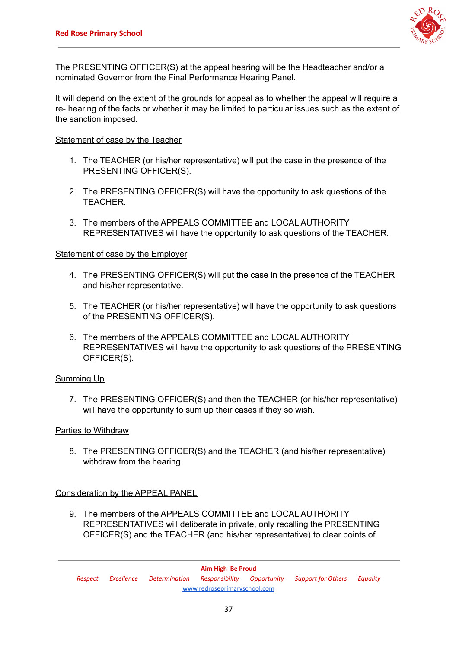

The PRESENTING OFFICER(S) at the appeal hearing will be the Headteacher and/or a nominated Governor from the Final Performance Hearing Panel.

It will depend on the extent of the grounds for appeal as to whether the appeal will require a re- hearing of the facts or whether it may be limited to particular issues such as the extent of the sanction imposed.

#### Statement of case by the Teacher

- 1. The TEACHER (or his/her representative) will put the case in the presence of the PRESENTING OFFICER(S).
- 2. The PRESENTING OFFICER(S) will have the opportunity to ask questions of the TEACHER.
- 3. The members of the APPEALS COMMITTEE and LOCAL AUTHORITY REPRESENTATIVES will have the opportunity to ask questions of the TEACHER.

#### Statement of case by the Employer

- 4. The PRESENTING OFFICER(S) will put the case in the presence of the TEACHER and his/her representative.
- 5. The TEACHER (or his/her representative) will have the opportunity to ask questions of the PRESENTING OFFICER(S).
- 6. The members of the APPEALS COMMITTEE and LOCAL AUTHORITY REPRESENTATIVES will have the opportunity to ask questions of the PRESENTING OFFICER(S).

#### Summing Up

7. The PRESENTING OFFICER(S) and then the TEACHER (or his/her representative) will have the opportunity to sum up their cases if they so wish.

#### Parties to Withdraw

8. The PRESENTING OFFICER(S) and the TEACHER (and his/her representative) withdraw from the hearing.

#### Consideration by the APPEAL PANEL

9. The members of the APPEALS COMMITTEE and LOCAL AUTHORITY REPRESENTATIVES will deliberate in private, only recalling the PRESENTING OFFICER(S) and the TEACHER (and his/her representative) to clear points of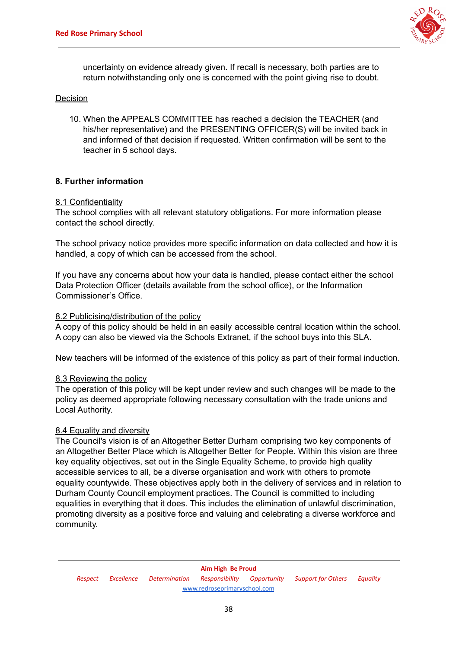

uncertainty on evidence already given. If recall is necessary, both parties are to return notwithstanding only one is concerned with the point giving rise to doubt.

#### Decision

10. When the APPEALS COMMITTEE has reached a decision the TEACHER (and his/her representative) and the PRESENTING OFFICER(S) will be invited back in and informed of that decision if requested. Written confirmation will be sent to the teacher in 5 school days.

#### **8. Further information**

#### 8.1 Confidentiality

The school complies with all relevant statutory obligations. For more information please contact the school directly.

The school privacy notice provides more specific information on data collected and how it is handled, a copy of which can be accessed from the school.

If you have any concerns about how your data is handled, please contact either the school Data Protection Officer (details available from the school office), or the Information Commissioner's Office.

#### 8.2 Publicising/distribution of the policy

A copy of this policy should be held in an easily accessible central location within the school. A copy can also be viewed via the Schools Extranet, if the school buys into this SLA.

New teachers will be informed of the existence of this policy as part of their formal induction.

#### 8.3 Reviewing the policy

The operation of this policy will be kept under review and such changes will be made to the policy as deemed appropriate following necessary consultation with the trade unions and Local Authority.

#### 8.4 Equality and diversity

The Council's vision is of an Altogether Better Durham comprising two key components of an Altogether Better Place which is Altogether Better for People. Within this vision are three key equality objectives, set out in the Single Equality Scheme, to provide high quality accessible services to all, be a diverse organisation and work with others to promote equality countywide. These objectives apply both in the delivery of services and in relation to Durham County Council employment practices. The Council is committed to including equalities in everything that it does. This includes the elimination of unlawful discrimination, promoting diversity as a positive force and valuing and celebrating a diverse workforce and community.